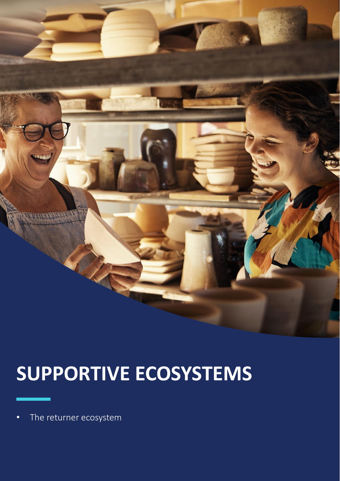

# **SUPPORTIVE ECOSYSTEMS**

•The returner ecosystem